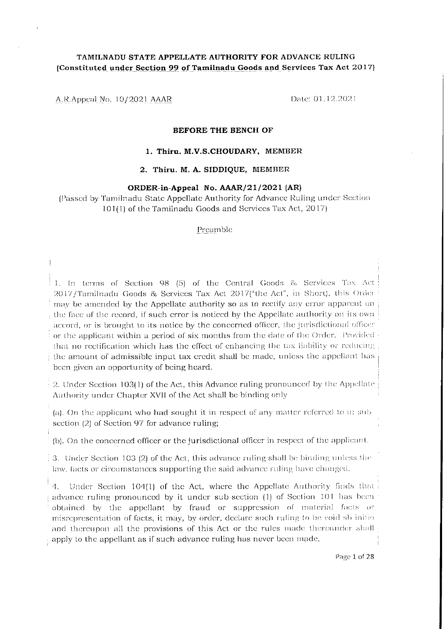# TAMILNADU STATE APPELLATE AUTHORITY FOR ADVANCE RULING (Constituted under Section 99 of Tamilnadu Goods and Services Tax Act 2017)

A.R.Appeal No. 10/2021 AAAR

Date: 01.12.2021

#### **BEFORE THE BENCH OF**

### 1. Thiru. M.V.S.CHOUDARY, MEMBER

# 2. Thiru. M. A. SIDDIQUE, MEMBER

### ORDER-in-Appeal No. AAAR/21/2021 (AR)

(Passed by Tamilnadu State Appellate Authority for Advance Ruling under Section 101(1) of the Tamilnadu Goods and Services Tax Act, 2017)

#### Preamble

1. In terms of Section 98 (5) of the Central Goods & Services Tax Act 2017/Tamilnadu Goods & Services Tax Act 2017("the Act", in Short), this Order may be amended by the Appellate authority so as to rectify any error apparent on the face of the record, if such error is noticed by the Appellate authority on its own accord, or is brought to its notice by the concerned officer, the jurisdictional officer or the applicant within a period of six months from the date of the Order. Provided that no rectification which has the effect of enhancing the tax liability or reducing the amount of admissible input tax credit shall be made, unless the appellant has been given an opportunity of being heard.

2. Under Section 103(1) of the Act, this Advance ruling pronounced by the Appellate Authority under Chapter XVII of the Act shall be binding only

(a). On the applicant who had sought it in respect of any matter referred to in sub section (2) of Section 97 for advance ruling;

(b). On the concerned officer or the jurisdictional officer in respect of the applicant.

 $\frac{1}{2}$  3. Under Section 103 (2) of the Act, this advance ruling shall be binding unless the law, facts or circumstances supporting the said advance ruling have changed.

Under Section 104(1) of the Act, where the Appellate Authority finds that  $4.$ advance ruling pronounced by it under sub-section (1) of Section 101 has been obtained by the appellant by fraud or suppression of material facts or misrepresentation of facts, it may, by order, declare such ruling to be void shinitio and thereupon all the provisions of this Act or the rules made thereunder shall apply to the appellant as if such advance ruling has never been made.

Page 1 of 28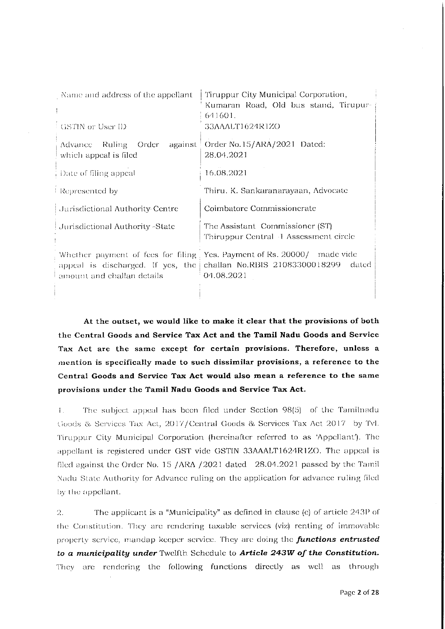| Name and address of the appellant                                | Tiruppur City Municipal Corporation,                                                                                             |  |  |  |  |
|------------------------------------------------------------------|----------------------------------------------------------------------------------------------------------------------------------|--|--|--|--|
|                                                                  | Kumaran Road, Old bus stand, Tirupur-                                                                                            |  |  |  |  |
|                                                                  | 641601.                                                                                                                          |  |  |  |  |
| GSTIN or User ID                                                 | 33AAALT1624R1ZO                                                                                                                  |  |  |  |  |
| against<br>Advance Ruling Order<br>which appeal is filed         | Order No. 15/ARA/2021 Dated:<br>28.04.2021                                                                                       |  |  |  |  |
| $\frac{1}{2}$ Date of filing appeal                              | 16.08.2021                                                                                                                       |  |  |  |  |
| Represented by                                                   | Thiru. K. Sankaranarayaan, Advocate                                                                                              |  |  |  |  |
| Jurisdictional Authority Centre                                  | Coimbatore Commissionerate                                                                                                       |  |  |  |  |
| Jurisdictional Authority -State                                  | The Assistant Commissioner (ST)<br>Thiruppur Central 4 Assessment circle                                                         |  |  |  |  |
| appeal is discharged. If yes, the<br>amount and challan details. | Whether payment of fees for filing Yes. Payment of Rs. 20000/ made vide<br>challan No.RBIS 21083300018299<br>dated<br>04.08.2021 |  |  |  |  |
|                                                                  |                                                                                                                                  |  |  |  |  |

At the outset, we would like to make it clear that the provisions of both the Central Goods and Service Tax Act and the Tamil Nadu Goods and Service Tax Act are the same except for certain provisions. Therefore, unless a mention is specifically made to such dissimilar provisions, a reference to the Central Goods and Service Tax Act would also mean a reference to the same provisions under the Tamil Nadu Goods and Service Tax Act.

The subject appeal has been filed under Section 98(5) of the Tamilnadu  $\mathbf{L}$ Goods & Services Tax Act, 2017/Central Goods & Services Tax Act 2017 by Tvl. Tiruppur City Municipal Corporation (hereinafter referred to as 'Appellant'). The appellant is registered under GST vide GSTIN 33AAALT1624R1ZO. The appeal is filed against the Order No. 15 /ARA /2021 dated 28.04.2021 passed by the Tamil Nadu State Authority for Advance ruling on the application for advance ruling filed by the appellant.

The applicant is a "Municipality" as defined in clause (e) of article 243P of  $\mathcal{D}^$ the Constitution. They are rendering taxable services (viz) renting of immovable property service, mandap keeper service. They are doing the functions entrusted to a municipality under Twelfth Schedule to Article 243W of the Constitution. They are rendering the following functions directly as well as through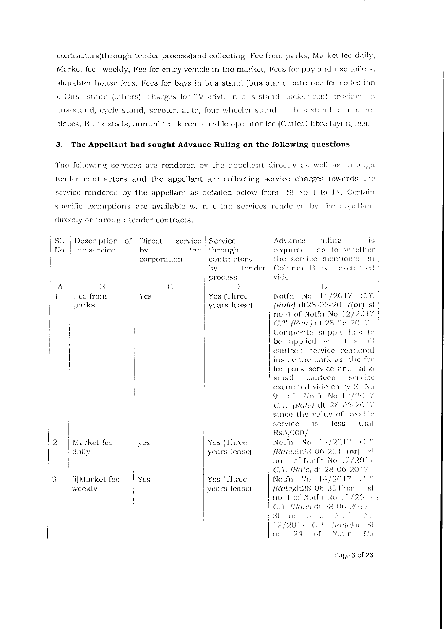contractors(through tender process)and collecting Fee from parks, Market fee daily, Market fee -weekly, Fee for entry vehicle in the market, Fees for pay and use toilets, slaughter house fees, Fees for bays in bus stand (bus stand entrance fee collection ), Bus stand (others), charges for TV advt. in bus stand, locker rent provided in bus-stand, cycle stand, scooter, auto, four wheeler stand in bus stand and other places, Bunk stalls, annual track rent - cable operator fee (Optical fibre laying fee).

# 3. The Appellant had sought Advance Ruling on the following questions:

The following services are rendered by the appellant directly as well as through tender contractors and the appellant are collecting service charges towards the service rendered by the appellant as detailed below from Sl No 1 to 14. Certain specific exemptions are available w. r. t the services rendered by the appellant directly or through tender contracts.

| SL.<br>No | Description of Direct<br>the service | service<br>by <sub>1</sub><br>the<br>corporation | Service<br>through<br>contractors<br>bγ<br>tender  <br>process. | ruling<br>$\overline{1}$ is $\overline{1}$<br>Advance:<br>as to whether<br>required<br>the service mentioned in<br>Column B is<br>-exempted-<br>vide                                                                                                                                                                                                                                                                                                        |
|-----------|--------------------------------------|--------------------------------------------------|-----------------------------------------------------------------|-------------------------------------------------------------------------------------------------------------------------------------------------------------------------------------------------------------------------------------------------------------------------------------------------------------------------------------------------------------------------------------------------------------------------------------------------------------|
| Λ         | $\overline{1}3$                      | $\mathbb{C}$                                     | $\mathbf{D}$                                                    | E                                                                                                                                                                                                                                                                                                                                                                                                                                                           |
| 1         | Fee from<br>parks                    | Yes                                              | Yes (Three<br>years lease)                                      | Notfn No $14/2017$ C.T.<br>(Rate) dt28-06-2017( $or$ ) sl<br>no 4 of Notfn No 12/2017<br>C.T. (Rate) dt 28-06-2017.<br>Composite supply has to<br>be applied w.r. t small<br>canteen service rendered<br>inside the park as the fee<br>for park service and also<br>service<br>small canteen<br>exempted vide entry SI No.<br>of Notfn No $12/2017$<br>G —<br>C.T. (Rate) dt 28 06 2017<br>since the value of taxable<br>that<br>less.<br>service<br>$-$ is |
| 2         | Market fee-<br>daily                 | yes                                              | Yes (Three<br>years lease)                                      | Rs5,000/<br>Notfn No $14/2017$ C.T.<br>$(Rate)dt28062017$ (or) sl<br>no 4 of Notfn No $12/2017$<br>C.T. (Rate) dt 28-06-2017.                                                                                                                                                                                                                                                                                                                               |
| 3         | $(i)$ Market fee $-$<br>weekly       | ∣ Yes                                            | Yes (Three<br>years lease)                                      | Notfn No 14/2017 C.T.<br>(Rate)dt28-06-2017or<br>- sl<br>no 4 of Notfn No 12/2017 :<br>C.T. (Rate) dt 28-06-2017<br>Sl no 5 of Notfin No<br>12/2017 C.T. (Ratejor Sl.<br>$of -$<br>Notfn.<br>N <sub>O</sub><br>24<br>$\Gamma$ <sup>10</sup>                                                                                                                                                                                                                 |

Page 3 of 28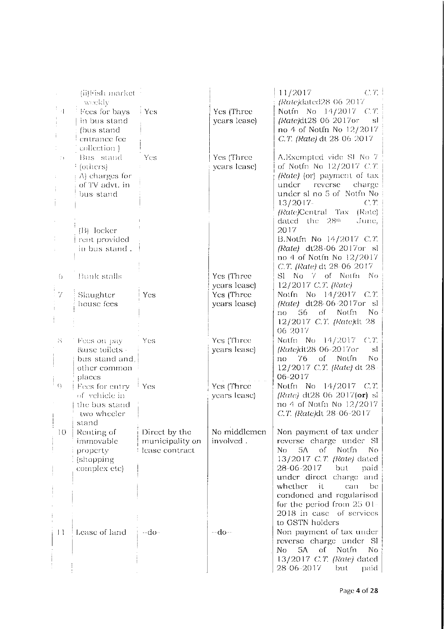|                                       | (ii)Fish market                                                                         |                                                    |                            | C.T.<br>11/2017<br>(Rate)dated28 06 2017                                                                                                                                                                                                                    |
|---------------------------------------|-----------------------------------------------------------------------------------------|----------------------------------------------------|----------------------------|-------------------------------------------------------------------------------------------------------------------------------------------------------------------------------------------------------------------------------------------------------------|
| 척                                     | weekly<br>Fees for bays<br>in bus stand<br>(bus stand<br>entrance fee                   | i Yes                                              | Yes (Three<br>years lease) | Notfn No 14/2017 C.T.<br>(Rate)dt28-06-2017or<br>-sl<br>no 4 of Notfn No 12/2017<br>C.T. (Rate) dt 28-06-2017                                                                                                                                               |
| $\left\langle \cdot \right\rangle$ ). | collection)<br>Bus stand<br>[ (others)<br>A) charges for<br>of TV advt. in<br>bus stand | Yes                                                | Yes (Three<br>years lease) | A.Exempted vide SI No 7<br>of Notfn No $12/2017$ C.T.<br>(Rate) (or) payment of tax<br>reverse<br>charge<br>under<br>under sl no 5 of Notfn No<br>$13/2017-$<br>C/T<br><i>(Rate)</i> Central Tax<br>(Rate)<br>dated the 28th<br>June,                       |
|                                       | $(B)$ locker<br>rent provided<br>in bus stand.                                          |                                                    |                            | 2017<br>B.Notfn No 14/2017 C.T.<br>(Rate) dt28-06 2017or sl<br>no 4 of Notfn No 12/2017<br>C.T. (Rate) dt 28-06-2017                                                                                                                                        |
| $\left( \right)$                      | <b>Bunk stalls</b>                                                                      |                                                    | Yes (Three<br>years lease) | No. 7 of Notfn<br>S1 -<br>Nο<br>12/2017 C.T. (Rate)                                                                                                                                                                                                         |
| $\cdot$ 7                             | Slaughter<br>house fees                                                                 | Yes                                                | Yes (Three<br>years lease) | Notfn No 14/2017 C.T.<br>(Rate) dt28-06-2017or sl<br>$56$ of<br>Not.fn<br>No.<br>no<br>12/2017 C.T. (Rate)dt 28<br>06 2017                                                                                                                                  |
| 35                                    | Fees on pay<br>&use toilets -<br>bus stand and,<br>other common<br>places               | Yes                                                | Yes (Three<br>years lease) | Notfn No 14/2017 C.T.<br>(Rate)dt28-06-2017or<br>sl<br>76<br>of Notfn<br>No<br>no<br>12/2017 C.T. (Rate) dt 28-<br>06-2017                                                                                                                                  |
| $\Omega$                              | Fees for entry<br>of vehicle in<br>the bus stand<br>two wheeler<br>stand                | † Yes                                              | Yes (Three<br>years lease) | Notfn No 14/2017 C.T.<br>(Rate) dt28 06 2017( $or$ ) sl<br>no 4 of Notfn No 12/2017<br>C.T. (Rate)dt 28-06-2017                                                                                                                                             |
| $\overline{10}$                       | Renting of<br>immovable<br>property<br>(shopping)<br>complex etc)                       | Direct by the<br>municipality on<br>lease contract | No middlemen<br>involved.  | Non payment of tax under<br>reverse charge under SI<br>Notfn<br>No<br>5Λ.<br>$\overline{\mathrm{of}}$<br>No.<br>13/2017 C.T. (Rate) dated<br>28-06-2017<br>but<br>paid<br>under direct charge and<br>whether<br>it<br>can<br>be<br>condoned and regularised |
| $\vert \vert$                         | Lease of land                                                                           | ⊸do∼                                               | $-do-$                     | for the period from $25.01$<br>2018 in case of services<br>to GSTN holders<br>Non payment of tax under<br>reverse charge under Sl<br>5A<br>Notfn<br>οf<br>No.<br>No.<br>13/2017 C.T. (Rate) dated<br>28 06 2017<br>but<br>paid.                             |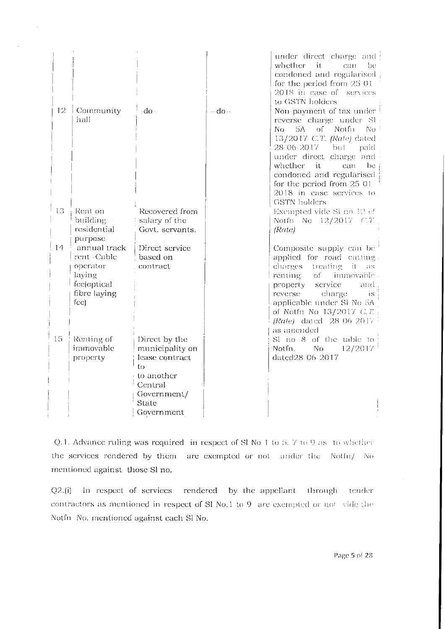| 12 | $\mid$ Community<br>hall                                                                            | ∽do∽                                                                                                                    | $-do-$ | under direct charge and<br>whether<br>it<br>can<br>be<br>condoned and regularised<br>for the period from 25.01<br>2018 in case of services<br>to GSTN holders<br>Non-payment of tax under<br>reverse charge under SI<br>No<br>5A -<br>of<br>-Notfii<br>No.<br>13/2017 C.T. (Rate) dated<br>28-06-2017 but<br>paid<br>under direct charge and |
|----|-----------------------------------------------------------------------------------------------------|-------------------------------------------------------------------------------------------------------------------------|--------|----------------------------------------------------------------------------------------------------------------------------------------------------------------------------------------------------------------------------------------------------------------------------------------------------------------------------------------------|
| 13 | Rent on<br>building ·<br>residential                                                                | Recovered from<br>salary of the<br>Govt. servants.                                                                      |        | whether it<br>can<br>be<br>condoned and regularised<br>for the period from 25.01<br>2018 in case services to<br><b>GSTN</b> holders<br>Exempted vide SI no 12 of<br>Notfn No $12/2017$ C.T.<br>(Rate)                                                                                                                                        |
| 14 | purpose<br>annual track<br>rent - Cable<br>operator<br>laying<br>fee(optical<br>fibre laying<br>fcc | Direct service<br>based on<br>contract                                                                                  |        | Composite supply can be<br>applied for road cutting.<br>charges treating it as<br>renting<br>$of -$<br>immovable.<br>service<br>property<br>and<br>reverse-<br>charge<br>TS.<br>applicable under SI No 5A<br>of Notfn No 13/2017 C.T.<br>(Rate) dated 28 06 2017<br>as amended                                                               |
| 15 | Renting of<br>immovable<br>property                                                                 | Direct by the<br>municipality on<br>lease contract<br>to<br>to another<br>Central<br>Government/<br>State<br>Government |        | Sl no 8 of the table to<br>Notin.<br>No.<br>12/2017<br>dated28-06-2017                                                                                                                                                                                                                                                                       |

 $\sim$ 

Q.1. Advance ruling was required in respect of SI No 1 to 5, 7 to 9 as to whether the services rendered by them are exempted or not under the Notfn/ No mentioned against those Sl no.

 $Q2(i)$  In respect of services rendered by the appellant through tender contractors as mentioned in respect of Sl No.1 to 9 are exempted or not vide the Notfn No. mentioned against each Sl No.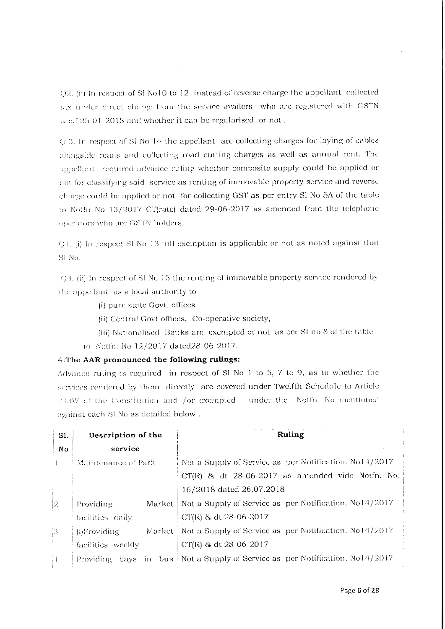Q2. (ii) In respect of SI No10 to 12 instead of reverse charge the appellant collected tax under direct charge from the service availers who are registered with GSTN w.e.f 25 01 2018 and whether it can be regularised. or not.

 $Q<sub>1</sub>$ , In respect of SI No 14 the appellant are collecting charges for laying of cables alongside roads and collecting road cutting charges as well as annual rent. The appellant required advance ruling whether composite supply could be applied or not for classifying said service as renting of immovable property service and reverse charge could be applied or not for collecting GST as per entry SI No 5A of the table to Notfn No 13/2017 CT(rate) dated 29-06-2017 as amended from the telephone operators who are GSTN holders.

O.I. (i) In respect SI No 13 full exemption is applicable or not as noted against that SI No.

()4. (ii) In respect of SI No 15 the renting of immovable property service rendered by the appellant as a local authority to

- (i) pure state Govt. offices
- (ii) Central Govt offices, Co-operative society,
- (iii) Nationalised Banks are exempted or not as per SI no 8 of the table
- to Notfn. No 12/2017 dated 28-06 2017.

# 4. The AAR pronounced the following rulings:

Advance ruling is required in respect of Sl No  $1$  to  $5$ ,  $7$  to  $9$ , as to whether the services rendered by them directly are covered under Twelfth Schedule to Article 243W of the Constitution and /or exempted - under the Notfn. No mentioned against each Sl No as detailed below.

| SI.                   | Description of the  | Ruling                                                                         |  |  |  |  |
|-----------------------|---------------------|--------------------------------------------------------------------------------|--|--|--|--|
| No.                   | service             |                                                                                |  |  |  |  |
|                       | Maintenance of Park | Not a Supply of Service as per Notification. No14/2017                         |  |  |  |  |
| ÷.                    |                     | $CT(R)$ & dt $28-06-2017$ as amended vide Notfn. No.                           |  |  |  |  |
|                       |                     | 16/2018 dated 26.07.2018                                                       |  |  |  |  |
| 2                     | Providing           | Market   Not a Supply of Service as per Notification. No14/2017 -              |  |  |  |  |
|                       | facilities daily    | -CT(R) & dt 28-06-2017                                                         |  |  |  |  |
| $\beta$               | (i)Providing        | Market Not a Supply of Service as per Notification. No14/2017                  |  |  |  |  |
| $\mathbb{C}^{\times}$ | facilities weekly   | CT(R) & dt 28-06-2017                                                          |  |  |  |  |
| ÷,                    |                     | Providing bays in bus   Not a Supply of Service as per Notification. No14/2017 |  |  |  |  |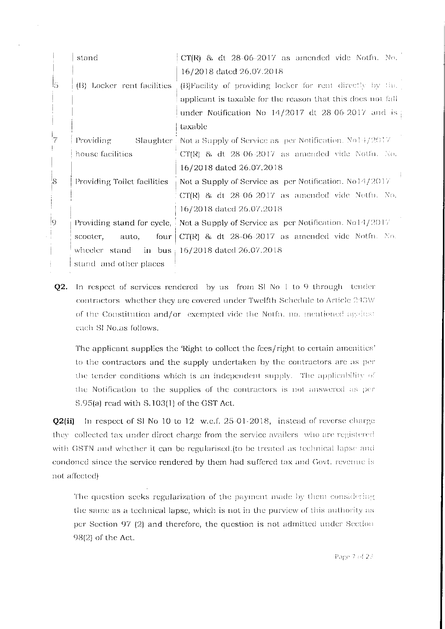|             | stand                       | $CT(R)$ & dt $28-06-2017$ as amended vide Notfn. No.                                            |
|-------------|-----------------------------|-------------------------------------------------------------------------------------------------|
|             |                             | 16/2018 dated 26.07.2018                                                                        |
| ls.         | (B) Locker rent facilities  | (B)Facility of providing locker for rent directly by the                                        |
|             |                             | applicant is taxable for the reason that this does not fall                                     |
|             |                             | under Notification No $14/2017$ dt 28 06 2017 and is                                            |
|             |                             | taxable                                                                                         |
| 7           | Providing<br>Slaughter      | Not a Supply of Service as per Notification. $N_01 + \frac{1}{2017}$                            |
|             | house facilities            | $CT(R)$ & dt $28.06.2017$ as amended vide Notfn. No.                                            |
|             |                             | 16/2018 dated 26.07.2018                                                                        |
| $8^{\circ}$ | Providing Toilet facilities | Not a Supply of Service as per Notification. No14/2017                                          |
|             |                             | $CT(R)$ & dt $28.06.2017$ as amended vide Notfu. No.                                            |
|             |                             | 16/2018 dated 26.07.2018                                                                        |
| 9           |                             | Providing stand for cycle, $\frac{1}{2}$ Not a Supply of Service as per Notification. No14/2017 |
|             | auto,<br>four<br>scooter,   | $CT(R)$ & dt $28-06-2017$ as amended vide Notfn. No.                                            |
|             | wheeler stand               | in bus $\frac{16}{2018}$ dated 26.07.2018                                                       |
|             | stand and other places      |                                                                                                 |

Q2. In respect of services rendered by us from Sl No 1 to 9 through tender contractors whether they are covered under Twelfth Schedule to Article 243W of the Constitution and/or exempted vide the Notfn. no. mentioned against cach SI No.as follows.

The applicant supplies the 'Right to collect the fees/right to certain amenities' to the contractors and the supply undertaken by the contractors are as per the tender conditions which is an independent supply. The applicability of the Notification to the supplies of the contractors is not answered as per S.95(a) read with S.103(1) of the GST Act.

Q2(ii) In respect of SI No 10 to 12 w.e.f. 25-01-2018, instead of reverse charge they collected tax under direct charge from the service availers who are registered with GSTN and whether it can be regularised. (to be treated as technical lapse and condoned since the service rendered by them had suffered tax and Govt. revenue is not affected)

The question seeks regularization of the payment made by them considering the same as a technical lapse, which is not in the purview of this authority as per Section 97 (2) and therefore, the question is not admitted under Section 98(2) of the Act.

Page 7 of 28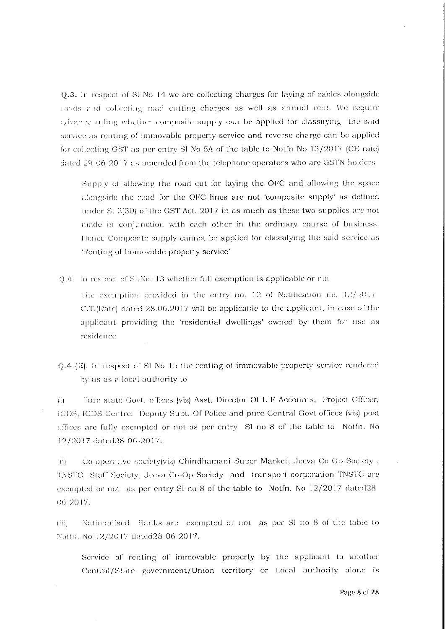Q.3. In respect of Sl No 14 we are collecting charges for laying of cables alongside roads and collecting road cutting charges as well as annual rent. We require advance ruling whether composite supply can be applied for classifying the said service as renting of immovable property service and reverse charge can be applied for collecting GST as per entry SI No 5A of the table to Notfn No 13/2017 (CE rate) dated 29 06 2017 as amended from the telephone operators who are GSTN holders

Supply of allowing the road cut for laying the OFC and allowing the space alongside the road for the OFC lines are not 'composite supply' as defined under S. 2(30) of the GST Act, 2017 in as much as these two supplies are not made in conjunction with each other in the ordinary course of business. Hence Composite supply cannot be applied for classifying the said service as 'Renting of Immovable property service'

Q.4. In respect of SLNo. 13 whether full exemption is applicable or not

The exemption provided in the entry no. 12 of Notification no.  $12/2017$ C.T.(Rate) dated 28.06.2017 will be applicable to the applicant, in case of the applicant providing the 'residential dwellings' owned by them for use as residence

Q.4 (ii). In respect of S1 No 15 the renting of immovable property service rendered by us as a local authority to

Pure state Govt. offices (viz) Asst. Director Of L F Accounts, Project Officer,  $\mathbf{H}$ ICDS, ICDS Centre: Deputy Supt. Of Police and pure Central Govt offices (viz) post offices are fully exempted or not as per entry. SI no 8 of the table to Notfn. No 12/2017 dated 28 06-2017.

Co operative society(viz) Chindhamani Super Market, Jeeva Co Op Society, jii) TNSTC Staff Society, Jeeva Co-Op Society and transport corporation TNSTC are exempted or not as per entry Sl no 8 of the table to Notfn. No 12/2017 dated 28 06 2017.

Nationalised Banks are exempted or not as per SI no 8 of the table to Tiil. Notfn. No 12/2017 dated 28 06 2017.

Service of renting of immovable property by the applicant to another Central/State government/Union territory or Local authority alone is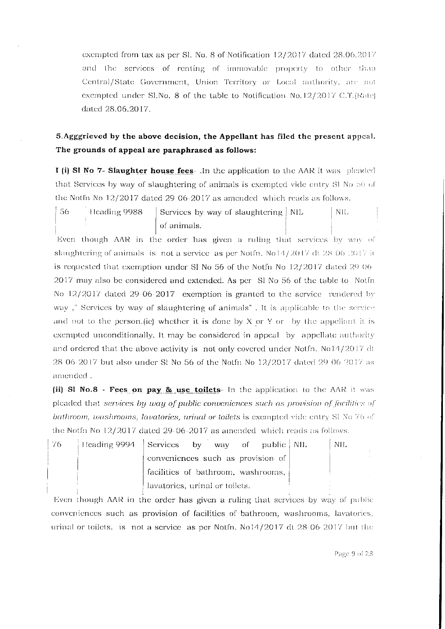exempted from tax as per Sl. No. 8 of Notification 12/2017 dated 28.06.2017 and the services of renting of immovable property to other than Central/State Government, Union Territory or Local authority, are not exempted under Sl.No. 8 of the table to Notification No.12/2017 C.T.(Rate) dated 28.06.2017.

# 5. Agggrieved by the above decision, the Appellant has filed the present appeal. The grounds of appeal are paraphrased as follows:

I (i) SI No 7- Slaughter house fees- . In the application to the AAR it was pleaded that Services by way of slaughtering of animals is exempted vide entry Sl No 56 of the Notfn No  $12/2017$  dated 29 06-2017 as amended which reads as follows.

56 Heading 9988 Services by way of slaughtering | NIL NIL. of animals.

Even though AAR in the order has given a ruling that services by way of slaughtering of animals is not a service as per Notfn,  $N_014/2017$  dt 28.06.2017 it is requested that exemption under SI No 56 of the Notfn No  $12/2017$  dated 29.06 2017 may also be considered and extended. As per SI No 56 of the table to Notfn No 12/2017 dated 29-06-2017 exemption is granted to the service rendered by way," Services by way of slaughtering of animals". It is applicable to the service and not to the person. (ie) whether it is done by X or Y or by the appellant it is exempted unconditionally. It may be considered in appeal by appellate authority and ordered that the above activity is not only covered under Notfn. No14/2017 dt 28 06-2017 but also under Sl No 56 of the Notfn No 12/2017 dated 29 06 2017 as amended.

(ii) SI No.8 - Fees on pay & use toilets- In the application to the AAR it was pleaded that services by way of public conveniences such as provision of facilities of bathroom, washrooms, lavatories, urinal or toilets is exempted vide entry SI No 76 of the Notfn No  $12/2017$  dated 29-06-2017 as amended which reads as follows.

| -76 | Heading 9994 Services by way of public NIL |                                    |  |  | -NIL |
|-----|--------------------------------------------|------------------------------------|--|--|------|
|     |                                            | conveniences such as provision of  |  |  |      |
|     |                                            | facilities of bathroom, washrooms, |  |  |      |
|     |                                            | lavatories, urinal or toilets.     |  |  |      |

Even though AAR in the order has given a ruling that services by way of public conveniences such as provision of facilities of bathroom, washrooms, lavatories, urinal or toilets. is not a service as per Notfn. No14/2017 dt 28-06-2017 but the

Page 9 of 28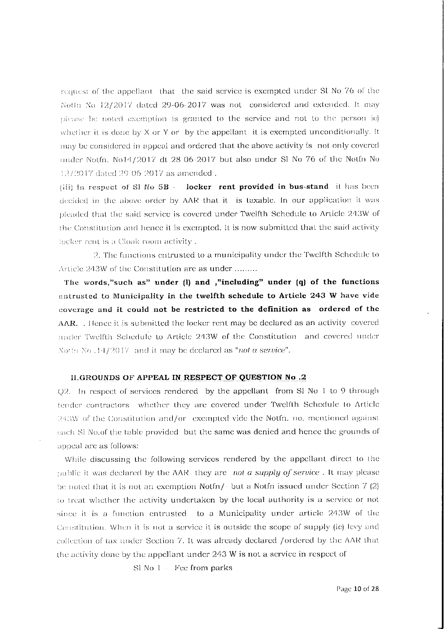request of the appellant that the said service is exempted under St No 76 of the Notfn No 12/2017 dated 29-06-2017 was not considered and extended. It may please be noted exemption is granted to the service and not to the person ie) whether it is done by  $X$  or  $Y$  or by the appellant it is exempted unconditionally. It may be considered in appeal and ordered that the above activity is not only covered under Notfn. No14/2017 dt 28 06-2017 but also under Sl No 76 of the Notfn No 12/2017 dated 29-06-2017 as amended.

(iii) In respect of SI No 5B - locker rent provided in bus-stand it has been decided in the above order by AAR that it is taxable. In our application it was pleaded that the said service is covered under Twelfth Schedule to Article 243W of the Constitution and hence it is exempted. It is now submitted that the said activity locker rent is a Cloak room activity.

2. The functions entrusted to a municipality under the Twelfth Schedule to Article 243W of the Constitution are as under ........

The words,"such as" under (l) and ,"including" under (q) of the functions entrusted to Municipality in the twelfth schedule to Article 243 W have vide coverage and it could not be restricted to the definition as ordered of the AAR. Hence it is submitted the locker rent may be declared as an activity covered under Twelfth Schedule to Article 243W of the Constitution and covered under Notto No.  $34/2017$  and it may be declared as "not a service".

#### II.GROUNDS OF APPEAL IN RESPECT OF QUESTION No.2

Q2. In respect of services rendered by the appellant from Sl No 1 to 9 through tender contractors whether they are covered under Twelfth Schedule to Article 243W of the Constitution and/or exempted vide the Notfn. no. mentioned against each SI No.of the table provided but the same was denied and hence the grounds of appeal are as follows:

While discussing the following services rendered by the appellant direct to the public it was declared by the AAR they are not a supply of service. It may please be noted that it is not an exemption Notfn $/$ - but a Notfn issued under Section  $7(2)$ to treat whether the activity undertaken by the local authority is a service or not since it is a function entrusted to a Municipality under article 243W of the Constitution. When it is not a service it is outside the scope of supply (ie) levy and collection of tax under Section 7. It was already declared /ordered by the AAR that the activity done by the appellant under 243 W is not a service in respect of

 $S1$  No  $1 -$  Fee from parks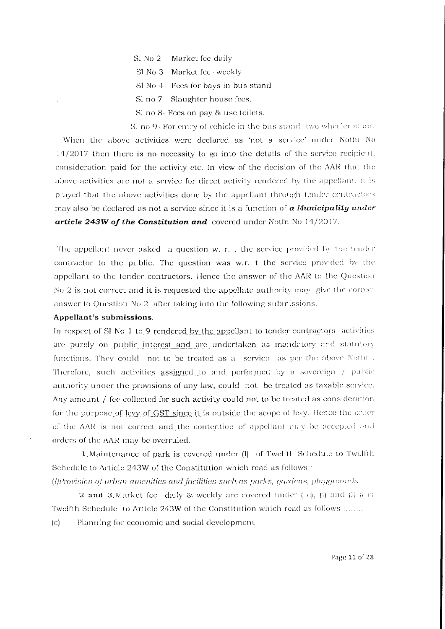- SI No 2 Market fee daily
- Sl No 3 Market fee weekly
- Sl No 4 Fees for bays in bus stand
- Sl no 7 Slaughter house fees.
- Sl no 8- Fees on pay & use toilets.

SI no 9- For entry of vehicle in the bus stand two wheeler stand When the above activities were declared as 'not a service' under Notfn No 14/2017 then there is no necessity to go into the details of the service recipient, consideration paid for the activity etc. In view of the decision of the AAR that the above activities are not a service for direct activity rendered by the appellant, it is prayed that the above activities done by the appellant through tender contractors may also be declared as not a service since it is a function of  $\alpha$  Municipality under article 243W of the Constitution and covered under Notin No  $14/2017$ .

The appellant never asked a question w. r. t the service provided by the tender contractor to the public. The question was w.r. t the service provided by the appellant to the tender contractors. Hence the answer of the AAR to the Question No 2 is not correct and it is requested the appellate authority may give the correct answer to Question No 2 after taking into the following submissions.

## Appellant's submissions.

In respect of SI No 1 to 9 rendered by the appellant to tender contractors activities are purely on public interest and are undertaken as mandatory and statutory functions. They could not to be treated as a service as per the above Notfn. Therefore, such activities assigned to and performed by a sovereign / public authority under the provisions of any law, could not be treated as taxable service. Any amount / fee collected for such activity could not to be treated as consideration for the purpose of levy of GST since it is outside the scope of levy. Hence the order of the AAR is not correct and the contention of appellant may be accepted and orders of the AAR may be overruled.

1. Maintenance of park is covered under (l) of Twelfth Schedule to Twelfth Schedule to Article 243W of the Constitution which read as follows : (I)Provision of urban amenities and facilities such as parks, gardens, playgrounds.

**2 and 3.** Market fee daily & weekly are covered under  $\{c\}$ , (i) and (l) a of Twelfth Schedule to Article 243W of the Constitution which read as follows :...... Planning for economic and social development  $(c)$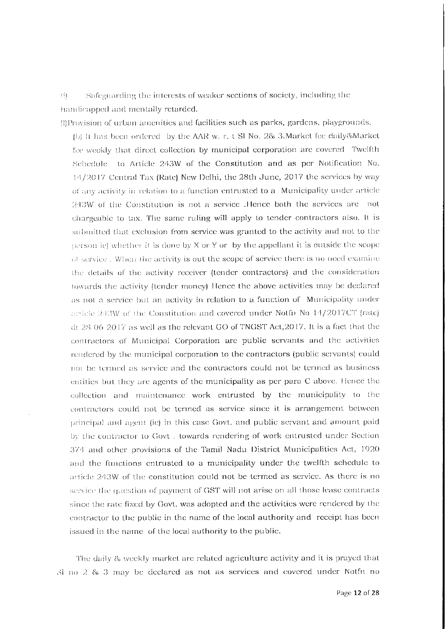$\overline{\Theta}$ Safeguarding the interests of weaker sections of society, including the handicapped and mentally retarded.

(!) Provision of urban amenities and facilities such as parks, gardens, playgrounds.

(b) It has been ordered by the AAR w. r. t SI No. 2& 3. Market fee daily & Market fce weekly that direct collection by municipal corporation are covered. Twelfth Schedule to Article 243W of the Constitution and as per Notification No. 14/2017 Central Tax (Rate) New Delhi, the 28th June, 2017 the services by way of any activity in relation to a function entrusted to a Municipality under article 243W of the Constitution is not a service. Hence both the services are not chargeable to tax. The same ruling will apply to tender contractors also. It is submitted that exclusion from service was granted to the activity and not to the person ie) whether it is done by X or Y or by the appellant it is outside the scope of service. When the activity is out the scope of service there is no need examine the details of the activity receiver (tender contractors) and the consideration towards the activity (tender money) Hence the above activities may be declared as not a service but an activity in relation to a function of Municipality under easiele  $243W$  of the Constitution and covered under Notfn No  $14/2017CT$  (rate) dt 28-06-2017 as well as the relevant GO of TNGST Act, 2017. It is a fact that the contractors of Municipal Corporation are public servants and the activities rendered by the municipal corporation to the contractors (public servants) could not be termed as service and the contractors could not be termed as business entities but they are agents of the municipality as per para C above. Hence the collection and maintenance work entrusted by the municipality to the contractors could not be termed as service since it is arrangement between principal and agent (ie) in this case Govt. and public servant and amount paid by the contractor to Govt . towards rendering of work entrusted under Section 374 and other provisions of the Tamil Nadu District Municipalities Act, 1920 and the functions entrusted to a municipality under the twelfth schedule to article 243W of the constitution could not be termed as service. As there is no service the question of payment of GST will not arise on all those lease contracts since the rate fixed by Govt, was adopted and the activities were rendered by the contractor to the public in the name of the local authority and receipt has been issued in the name of the local authority to the public.

The daily & weekly market are related agriculture activity and it is prayed that 31 no 2 & 3 may be declared as not as services and covered under Notfn no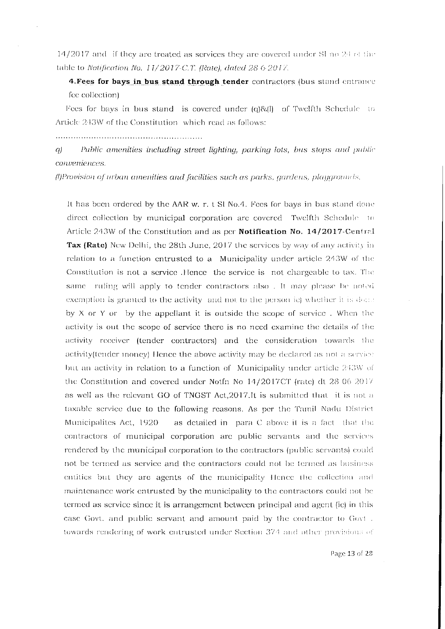14/2017 and if they are treated as services they are covered under SI no  $24$  of the table to Notification No. 11/2017-C.T. (Rate), dated 28 6 2017.

4. Fees for bays in bus stand through tender contractors (bus stand entrance fee collection)

Fees for bays in bus stand is covered under (q)&(l) of Twelfth Schedule to Article 243W of the Constitution which read as follows:

Public amenities including street lighting, parking lots, bus stops and public  $q$ conveniences.

(l)Provision of urban amenities and facilities such as parks, gardens, playgrounds.

It has been ordered by the AAR w. r. t SI No.4. Fees for bays in bus stand done direct collection by municipal corporation are covered. Twelfth Schedule to Article 243W of the Constitution and as per Notification No. 14/2017-Central **Tax (Rate)** New Delhi, the 28th June, 2017 the services by way of any activity in relation to a function entrusted to a Municipality under article 243W of the Constitution is not a service. Hence the service is not chargeable to tax. The same ruling will apply to tender contractors also. It may please be noted exemption is granted to the activity and not to the person iel whether it is done by X or Y or by the appellant it is outside the scope of service. When the activity is out the scope of service there is no need examine the details of the activity receiver (tender contractors) and the consideration towards the activity (tender money). Hence the above activity may be declared as not a service but an activity in relation to a function of Municipality under article 243W of the Constitution and covered under Notfn No 14/2017CT (rate) dt 28 06 2017 as well as the relevant GO of TNGST Act, 2017.It is submitted that it is not a taxable service due to the following reasons. As per the Tamil Nadu District Municipalites Act, 1920 as detailed in para C above it is a fact that the contractors of municipal corporation are public servants and the services rendered by the municipal corporation to the contractors (public servants) could not be termed as service and the contractors could not be termed as business entities but they are agents of the municipality Hence the collection and maintenance work entrusted by the municipality to the contractors could not be termed as service since it is arrangement between principal and agent (ie) in this case Govt. and public servant and amount paid by the contractor to Govt. towards rendering of work entrusted under Section 374 and other provisions of

Page 13 of 28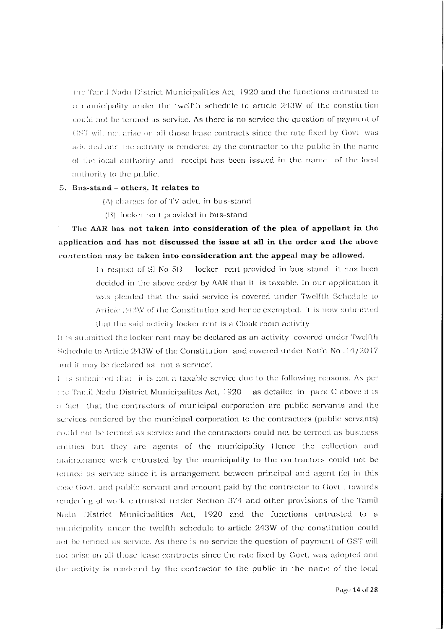the Tamil Nadu District Municipalities Act, 1920 and the functions entrusted to a municipality under the twelfth schedule to article 243W of the constitution could not be termed as service. As there is no service the question of payment of (18T will not arise on all those lease contracts since the rate fixed by Govt. was adopted and the activity is rendered by the contractor to the public in the name of the local authority and receipt has been issued in the name of the local authority to the public.

# 5. Bus-stand - others. It relates to

(A) charges for of TV advt. in bus-stand

(B) locker rent provided in bus-stand

The AAR has not taken into consideration of the plea of appellant in the application and has not discussed the issue at all in the order and the above contention may be taken into consideration ant the appeal may be allowed.

> In respect of Sl No 5B locker rent provided in bus stand it has been decided in the above order by AAR that it is taxable. In our application it was pleaded that the said service is covered under Twelfth Schedule to Articie 243W of the Constitution and hence exempted. It is now submitted that the said activity locker rent is a Cloak room activity

It is submitted the locker rent may be declared as an activity covered under Twelfth Schedule to Article 243W of the Constitution and covered under Notfn No. 14/2017 and it may be declared as not a service'.

It is submitted that it is not a taxable service due to the following reasons. As per the Tamil Nadu District Municipalites Act, 1920 as detailed in para C above it is a fact that the contractors of municipal corporation are public servants and the services rendered by the municipal corporation to the contractors (public servants) could not be termed as service and the contractors could not be termed as business entities but they are agents of the municipality Hence the collection and maintenance work entrusted by the municipality to the contractors could not be termed as service since it is arrangement between principal and agent (ie) in this gase Govt, and public servant and amount paid by the contractor to Govt, towards rendering of work entrusted under Section 374 and other provisions of the Tamil Nadu District Municipalities Act, 1920 and the functions entrusted to a municipality under the twelfth schedule to article 243W of the constitution could not be termed as service. As there is no service the question of payment of GST will not arise on all those lease contracts since the rate fixed by Govt, was adopted and the activity is rendered by the contractor to the public in the name of the local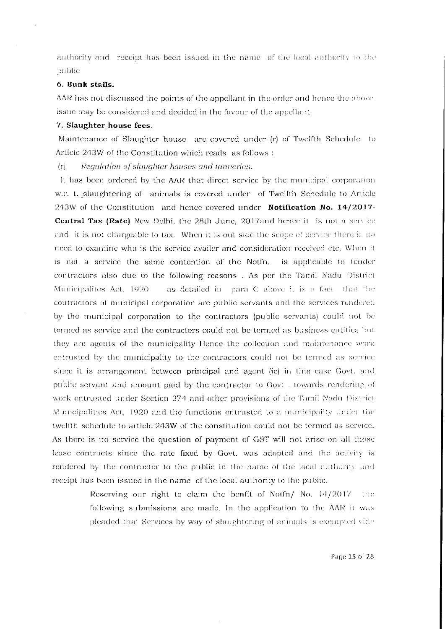authority and receipt has been issued in the name of the local authority to the public

## 6. Bunk stalls.

AAR has not discussed the points of the appellant in the order and hence the above issue may be considered and decided in the favour of the appellant.

#### 7. Slaughter house fees.

Maintenance of Slaughter house are covered under (r) of Twelfth Schedule to Article 243W of the Constitution which reads as follows:

Requlation of slaughter houses and tanneries.  $(r)$ 

It has been ordered by the AAR that direct service by the municipal corporation w.r. t. slaughtering of animals is covered under of Twelfth Schedule to Article  $243W$  of the Constitution and hence covered under **Notification No. 14/2017 Central Tax (Rate)** New Delhi, the 28th June, 2017and hence it is not a service and it is not chargeable to tax. When it is out side the scope of service there is no need to examine who is the service availer and consideration received etc. When it is not a service the same contention of the Notfn. is applicable to tender contractors also due to the following reasons . As per the Tamil Nadu District as detailed in para C above it is a fact that the Municipalites Act, 1920. contractors of municipal corporation are public servants and the services rendered by the municipal corporation to the contractors (public servants) could not be termed as service and the contractors could not be termed as business entities but they are agents of the municipality Hence the collection and maintenance work entrusted by the municipality to the contractors could not be termed as service since it is arrangement between principal and agent (ie) in this case Govt. and public servant and amount paid by the contractor to Govt. towards rendering of work entrusted under Section 374 and other provisions of the Tamil Nadu District Municipalities Act, 1920 and the functions entrusted to a municipality under the twelfth schedule to article 243W of the constitution could not be termed as service. As there is no service the question of payment of GST will not arise on all those lease contracts since the rate fixed by Govt. was adopted and the activity is rendered by the contractor to the public in the name of the local authority and receipt has been issued in the name of the local authority to the public.

> Reserving our right to claim the benfit of Notfn/ No. 14/2017 the following submissions are made. In the application to the AAR it was pleaded that Services by way of slaughtering of animals is exempted vide

> > Page 15 of 28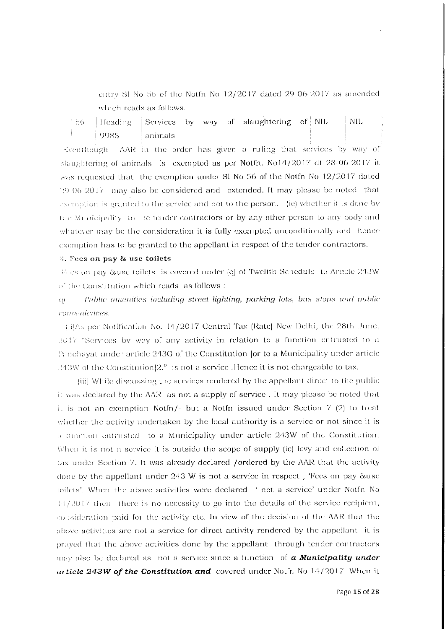entry SI No 56 of the Notfn No 12/2017 dated 29 06 2017 as amended which reads as follows.

Services by way of slaughtering of NIL NIL.  $-56$ Heading 9988 animals.

Eventhough. AAR in the order has given a ruling that services by way of slaughtering of animals is exempted as per Notfn. No14/2017 dt 28-06-2017 it was requested that the exemption under Sl No 56 of the Notfn No  $12/2017$  dated 29.06.2017 may also be considered and extended. It may please be noted that exercistion is granted to the service and not to the person. (ie) whether it is done by the Municipality to the tender contractors or by any other person to any body and whatever may be the consideration it is fully exempted unconditionally and hence exemption has to be granted to the appellant in respect of the tender contractors.

#### 3. Fees on pay & use toilets

Fees on pay &use toilets, is covered under (q) of Twelfth Schedule to Article 243W of the Constitution which reads as follows :

#### Public amenities including street lighting, parking lots, bus stops and public  $\overline{CD}$ conneniences.

(ii)As per Notification No. 14/2017 Central Tax (Rate) New Delhi, the 28th June, 2017 "Services by way of any activity in relation to a function entrusted to a Panchayat under article 243G of the Constitution (or to a Municipality under article  $243W$  of the Constitution $|2$ ," is not a service. Hence it is not chargeable to tax.

(iii) While discussing the services rendered by the appellant direct to the public it was declared by the AAR as not a supply of service. It may please be noted that it is not an exemption Notfn/ $\sim$  but a Notfn issued under Section 7 (2) to treat whether the activity undertaken by the local authority is a service or not since it is a function entrusted to a Municipality under article 243W of the Constitution. When it is not a service it is outside the scope of supply (ie) levy and collection of tax under Section 7. It was already declared /ordered by the AAR that the activity done by the appellant under 243 W is not a service in respect, Fees on pay & use toilets'. When the above activities were declared 'not a service' under Notfn No  $14/2017$  then there is no necessity to go into the details of the service recipient, consideration paid for the activity etc. In view of the decision of the AAR that the above activities are not a service for direct activity rendered by the appellant it is prayed that the above activities done by the appellant through tender contractors  $_{\text{HHV}}$  also be declared as not a service since a function of **a Municipality under** article 243W of the Constitution and covered under Notfn No 14/2017. When it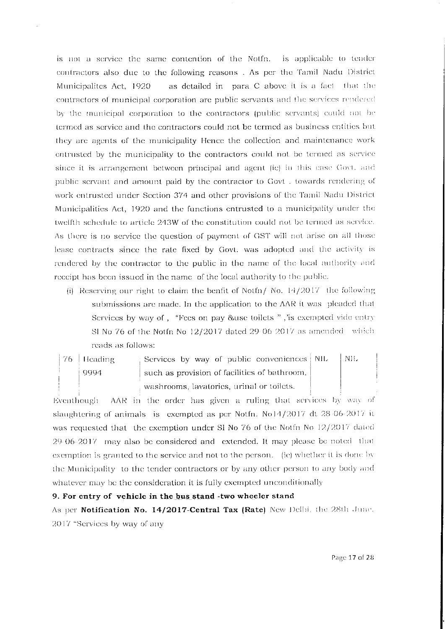is not a service the same contention of the Notfn. is applicable to tender contractors also due to the following reasons. As per the Tamil Nadu District as detailed in para C above it is a fact that the Municipalites Act, 1920 contractors of municipal corporation are public servants and the services rendered by the municipal corporation to the contractors (public servants) could not be termed as service and the contractors could not be termed as business entities but they are agents of the municipality Hence the collection and maintenance work entrusted by the municipality to the contractors could not be termed as service since it is arrangement between principal and agent (ic) in this case Govt. and public servant and amount paid by the contractor to Govt. towards rendering of work entrusted under Section 374 and other provisions of the Tamil Nadu District Municipalities Act, 1920 and the functions entrusted to a municipality under the twelfth schedule to article 243W of the constitution could not be termed as service. As there is no service the question of payment of GST will not arise on all those lease contracts since the rate fixed by Govt. was adopted and the activity is rendered by the contractor to the public in the name of the local authority and receipt has been issued in the name of the local authority to the public.

- (i) Reserving our right to claim the benfit of Notfn/ No.  $14/2017$  the following submissions are made. In the application to the AAR it was pleaded that Services by way of, "Fees on pay &use toilets", "is exempted vide entry SI No 76 of the Notfn No  $12/2017$  dated 29-06-2017 as amended which reads as follows:
- Services by way of public conveniences NIL  $76$  Heading NIL. 9994 such as provision of facilities of bathroom, washrooms, lavatories, urinal or toilets.

AAR in the order has given a ruling that services by way of Eventhough slaughtering of animals is exempted as per Notfn. No14/2017 dt 28-06-2017 it was requested that the exemption under SI No 76 of the Notfn No 12/2017 dated 29-06-2017 may also be considered and extended. It may please be noted that exemption is granted to the service and not to the person. (ie) whether it is done by the Municipality to the tender contractors or by any other person to any body and whatever may be the consideration it is fully exempted unconditionally

# 9. For entry of vehicle in the bus stand -two wheeler stand

As per Notification No. 14/2017-Central Tax (Rate) New Delhi, the 28th June. 2017 "Services by way of any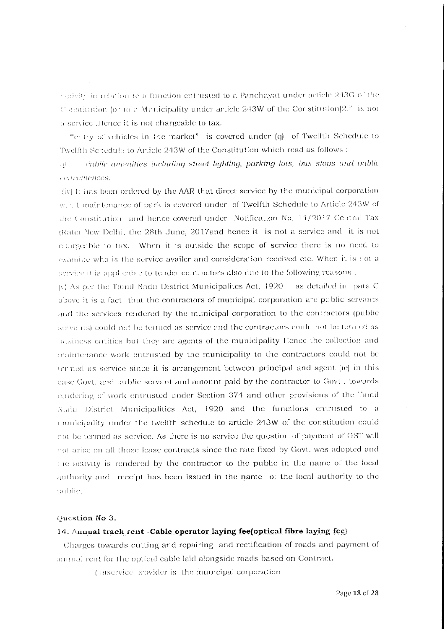activity in relation to a function entrusted to a Panchayat under article 243G of the Constitution for to a Municipality under article 243W of the Constitution [2." is not a service .Hence it is not chargeable to tax.

"entry of vehicles in the market" is covered under (q) of Twelfth Schedule to Twelfth Schedule to Article 243W of the Constitution which read as follows:

Public amenities including street lighting, parking lots, bus stops and public √∯. conveniences.

(iv) It has been ordered by the AAR that direct service by the municipal corporation w.r. t maintenance of park is covered under of Twelfth Schedule to Article 243W of the Constitution and hence covered under Notification No. 14/2017 Central Tax (Rate) New Delhi, the 28th June, 2017and hence it is not a service and it is not chargeable to tax. When it is outside the scope of service there is no need to examine who is the service availer and consideration received etc. When it is not a service it is applicable to tender contractors also due to the following reasons.

(v) As per the Tamil Nadu District Municipalites Act, 1920 - as detailed in para C above it is a fact that the contractors of municipal corporation are public servants and the services rendered by the municipal corporation to the contractors (public servants) could not be termed as service and the contractors could not be termed as basiness entities but they are agents of the municipality Hence the collection and maintenance work entrusted by the municipality to the contractors could not be termed as service since it is arrangement between principal and agent (ie) in this case Govt, and public servant and amount paid by the contractor to Govt, towards rendering of work entrusted under Section 374 and other provisions of the Tamil Nadu District Municipalities Act, 1920 and the functions entrusted to a municipality under the twelfth schedule to article 243W of the constitution could not be termed as service. As there is no service the question of payment of GST will not arise on all those lease contracts since the rate fixed by Govt, was adopted and the activity is rendered by the contractor to the public in the name of the local authority and receipt has been issued in the name of the local authority to the public.

#### Question No 3.

# 14. Annual track rent -Cable operator laying fee optical fibre laying fee

Charges towards cutting and repairing and rectification of roads and payment of annual rent for the optical cable laid alongside roads based on Contract.

(a) service provider is the municipal corporation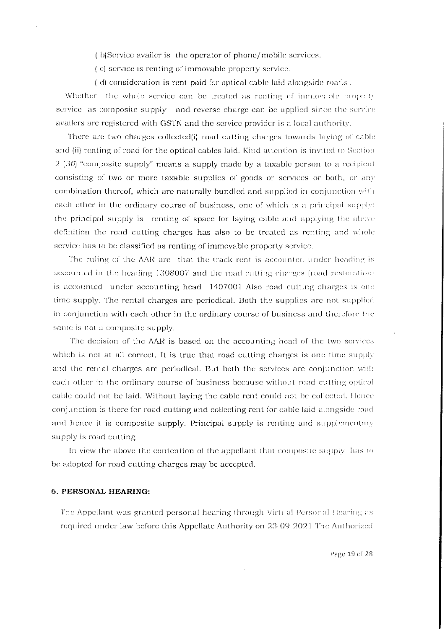(b)Service availer is the operator of phone/mobile services.

(c) service is renting of immovable property service.

(d) consideration is rent paid for optical cable laid alongside roads.

Whether the whole service can be treated as renting of immovable property service as composite supply and reverse charge can be applied since the service availers are registered with GSTN and the service provider is a local authority.

There are two charges collected(i) road cutting charges towards laying of cable and (ii) renting of road for the optical cables laid. Kind attention is invited to Section  $2(30)$  "composite supply" means a supply made by a taxable person to a recipient consisting of two or more taxable supplies of goods or services or both, or any combination thereof, which are naturally bundled and supplied in conjunction with each other in the ordinary course of business, one of which is a principal supply: the principal supply is renting of space for laying cable and applying the above definition the road cutting charges has also to be treated as renting and whole service has to be classified as renting of immovable property service.

The ruling of the AAR are that the track rent is accounted under heading is accounted in the heading 1308007 and the road cutting charges (road restoration) is accounted under accounting head 1407001 Also road cutting charges is one time supply. The rental charges are periodical. Both the supplies are not supplied in conjunction with each other in the ordinary course of business and therefore the same is not a composite supply.

The decision of the AAR is based on the accounting head of the two services which is not at all correct. It is true that road cutting charges is one time supply and the rental charges are periodical. But both the services are conjunction with each other in the ordinary course of business because without road cutting optical cable could not be laid. Without laying the cable rent could not be collected. Hence conjunction is there for road cutting and collecting rent for cable laid alongside road and hence it is composite supply. Principal supply is renting and supplementary supply is road cutting

In view the above the contention of the appellant that composite supply has to be adopted for road cutting charges may be accepted.

# 6. PERSONAL HEARING:

The Appellant was granted personal hearing through Virtual Personal Hearing as required under law before this Appellate Authority on 23-09 2021 The Authorized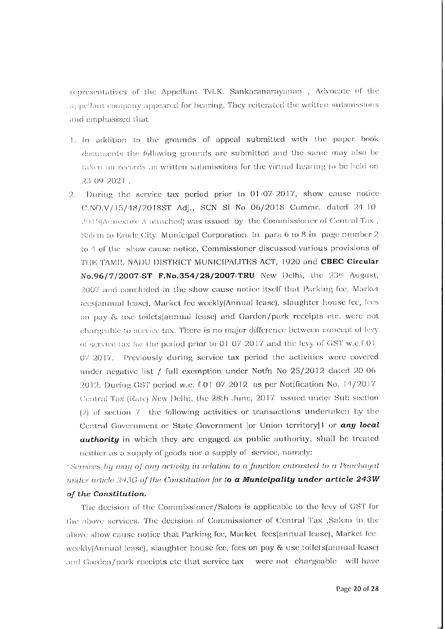representatives of the Appellant Tvl.K. Sankaranarayanan, Advocate of the appellant company appeared for hearing. They reiterated the written submissions and emphasized that

- 1. In addition to the grounds of appeal submitted with the paper book documents the following grounds are submitted and the same may also be taken on records as written submissions for the virtual hearing to be held on 23 09 2021.
- 2. During the service tax period prior to 01-07-2017, show cause notice  $C.NO.V/15/48/2018ST$  Adj., SCN SI No 06/2018 Commr. dated 24:10 2018(Annexure A attached) was issued by the Commissioner of Central Tax, Salem to Erode City. Municipal Corporation. In: para 6 to 8 in: page number 2. to 4 of the show cause notice, Commissioner discussed various provisions of THE TAMIL NADU DISTRICT MUNICIPALITES ACT, 1920 and CBEC Circular No.96/7/2007-ST F.No.354/28/2007-TRU New Delhi, the 23rd August, 2007 and concluded in the show cause notice itself that Parking fee, Market fees(annual lease), Market fee weekly(Annual lease), slaughter house fee, fees on pay & use toilets(annual lease) and Garden/park receipts etc. were not chargeable to service tax. There is no major difference between concept of levy of service tax for the period prior to  $01/07/2017$  and the levy of GST w.e.f  $01$  $07-2017$ . Previously during service tax period the activities were covered under negative list / full exemption under Notfn No 25/2012 dated 20-06 2012. During GST period w.e.  $f = 01 - 07 - 2012$  as per Notification No.  $14/2017$ Central Tax (Rate) New Delhi, the 28th June, 2017 issued under Sub section  $(2)$  of section  $7$  the following activities or transactions undertaken by the Central Government or State Government [or Union territory]1 or any local authority in which they are engaged as public authority, shall be treated neither as a supply of goods nor a supply of service, namely:

"Services by way of any activity in relation to a function entrusted to a Panchayat under article 243G of the Constitution for to a Municipality under article 243W of the Constitution.

The decision of the Commissioner/Salem is applicable to the levy of GST for the above services. The decision of Commissioner of Central Tax ,Salem in the above show cause notice that Parking fee, Market fees(annual lease), Market feeweekly(Annual lease), slaughter house fee, fees on pay & use toilets(annual lease) and Garden/park receipts etc that service tax were not chargeable will have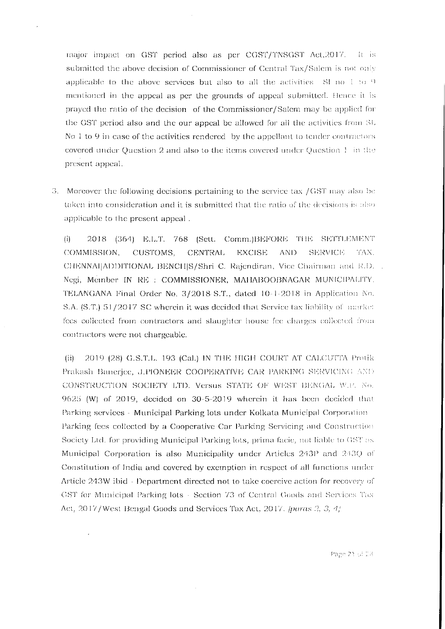major impact on GST period also as per CGST/TNSGST Act, 2017. It is submitted the above decision of Commissioner of Central Tax/Salem is not only applicable to the above services but also to all the activities. SI no  $1 \times 9$ mentioned in the appeal as per the grounds of appeal submitted. Hence it is prayed the ratio of the decision of the Commissioner/Salem may be applied for the GST period also and the our appeal be allowed for all the activities from SL No 1 to 9 in case of the activities rendered by the appellant to tender contractors covered under Question 2 and also to the items covered under Question 1 in the present appeal.

3. Moreover the following decisions pertaining to the service tax /GST may also be taken into consideration and it is submitted that the ratio of the decisions is also applicable to the present appeal.

2018 (364) E.L.T. 768 (Sett. Comm.)BEFORE THE SETTLEMENT  $(i)$ COMMISSION. CUSTOMS. **CENTRAL EXCISE** AND. **SERVICE** TAX. CHENNAI|ADDITIONAL BENCH|S/Shri C. Rajendiran, Vice Chairman and R.D. . Negi, Member IN RE : COMMISSIONER, MAHABOOBNAGAR MUNICIPALITY. TELANGANA Final Order No. 3/2018 S.T., dated 10-1-2018 in Application No. S.A. (S.T.) 51/2017 SC wherein it was decided that Service tax liability of market fees collected from contractors and slaughter house fee charges collected from contractors were not chargeable.

2019 (28) G.S.T.L. 193 (Cal.) IN THE HIGH COURT AT CALCUTTA Protik  $(ii)$ Prakash Banerjee, J.PIONEER COOPERATIVE CAR PARKING SERVICING AND CONSTRUCTION SOCIETY LTD. Versus STATE OF WEST BENGAL W.P. No. 9625 (W) of 2019, decided on 30-5-2019 wherein it has been decided that Parking services - Municipal Parking lots under Kolkata Municipal Corporation Parking fees collected by a Cooperative Car Parking Servicing and Construction Society Ltd. for providing Municipal Parking lots, prima facie, not liable to GST as Municipal Corporation is also Municipality under Articles 243P and 243Q of Constitution of India and covered by exemption in respect of all functions under Article 243W ibid - Department directed not to take coercive action for recovery of GST for Municipal Parking lots - Section 73 of Central Goods and Services Tax Act, 2017/West Bengal Goods and Services Tax Act, 2017. Jparas 2, 3, 4/

Page 21 of D8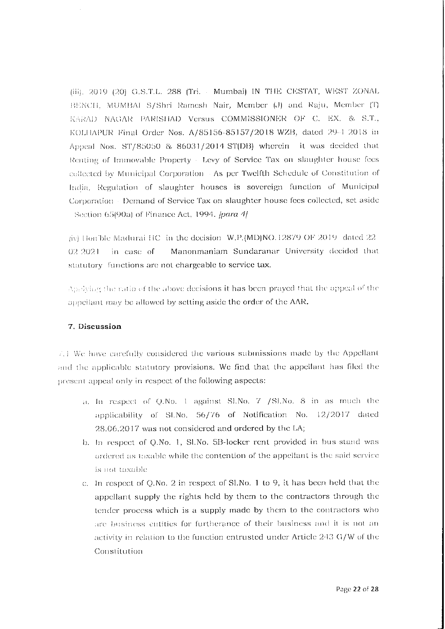(iii), 2019 (20) G.S.T.L. 288 (Tri. Mumbai) IN THE CESTAT, WEST ZONAL BENCH, MUMBAI S/Shri Ramesh Nair, Member (J) and Raju, Member (T) KARAD NAGAR PARISHAD Versus COMMISSIONER OF C. EX. & S.T., KOLHAPUR Final Order Nos. A/85156-85157/2018 WZB, dated 29-1 2018 in Appeal Nos. ST/85050 & 86031/2014 ST(DB) wherein it was decided that Renting of Immovable Property - Levy of Service Tax on slaughter house fees collected by Municipal Corporation - As per Twelfth Schedule of Constitution of India, Regulation of slaughter houses is sovereign function of Municipal Corporation - Demand of Service Tax on slaughter house fees collected, set aside Section 65(90a) of Finance Act, 1994. /para 4/

 $\dot{\mu}$  and Hon ble Madurai HC in the decision W.P. (MD)NO.12879 OF 2019 dated 22 Manonmaniam Sundaranar University decided that 02.2021 in case of statutory functions are not chargeable to service tax.

Applying the ratio of the above decisions it has been prayed that the appeal of the appellant may be allowed by setting aside the order of the AAR.

# 7. Discussion

7.1 We have carefully considered the various submissions made by the Appellant and the applicable statutory provisions. We find that the appellant has filed the present appeal only in respect of the following aspects:

- a. In respect of Q.No. 1 against SLNo. 7 /SLNo. 8 in as much the applicability of Sl.No. 56/76 of Notification No. 12/2017 dated 28.06.2017 was not considered and ordered by the LA;
- b. In respect of Q.No. 1, SI.No. 5B-locker rent provided in bus stand was ordered as taxable while the contention of the appellant is the said service is not taxable.
- c. In respect of Q.No. 2 in respect of Sl.No. 1 to 9, it has been held that the appellant supply the rights held by them to the contractors through the tender process which is a supply made by them to the contractors who are business entities for furtherance of their business and it is not an activity in relation to the function entrusted under Article 243 G/W of the Constitution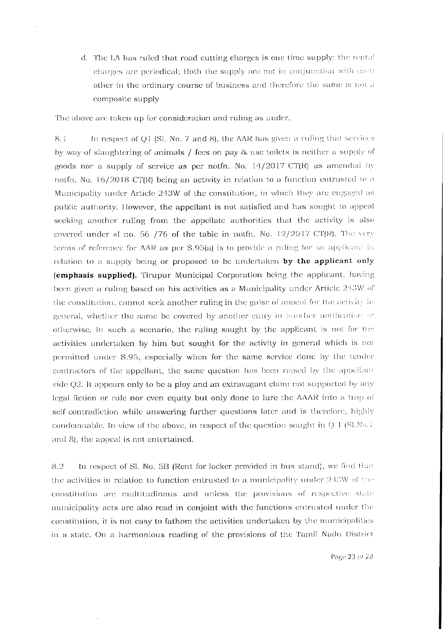d. The LA has ruled that road cutting charges is one time supply; the rental charges are periodical; Both the supply are not in conjunction with each other in the ordinary course of business and therefore the same is not a composite supply

The above are taken up for consideration and ruling as under.

In respect of Q1 (Sl. No. 7 and 8), the AAR has given a ruling that services 8.1 by way of slaughtering of animals / fees on pay & use toilets is neither a supply of goods nor a supply of service as per notfn. No.  $14/2017$  CT(R) as amended by notfn. No. 16/2018 CT(R) being an activity in relation to a function entrusted to a Municipality under Article 243W of the constitution, in which they are engaged as public authority. However, the appellant is not satisfied and has sought to appeal seeking another ruling from the appellate authorities that the activity is also covered under sl no. 56 /76 of the table in notfn. No.  $12/2017$  CT(R). The very terms of reference for AAR as per S.95(a) is to provide a ruling for an applicant in relation to a supply being or proposed to be undertaken by the applicant only (emphasis supplied). Tirupur Municipal Corporation being the applicant, having been given a ruling based on his activities as a Municipality under Article 243W of the constitution, cannot seek another ruling in the guise of appeal for the activity in general, whether the same be covered by another entry in another notification or otherwise. In such a scenario, the ruling sought by the applicant is not for the activities undertaken by him but sought for the activity in general which is not permitted under S.95, especially when for the same service done by the tender contractors of the appellant, the same question has been raised by the appellant vide Q2. It appears only to be a ploy and an extravagant claim not supported by any legal fiction or rule nor even equity but only done to lure the AAAR into a trap of self-contradiction while answering further questions later and is therefore, highly condemnable. In view of the above, in respect of the question sought in  $Q<sub>1</sub>$  (SLNo.7) and 8), the appeal is not entertained.

In respect of Sl. No. 5B (Rent for locker provided in bus stand), we find that 8.2 the activities in relation to function entrusted to a municipality under 243W of the constitution are multitudinous and unless the provisions of respective state municipality acts are also read in conjoint with the functions entrusted under the constitution, it is not easy to fathom the activities undertaken by the municipalities in a state. On a harmonious reading of the provisions of the Tamil Nadu District

Page 23 of 28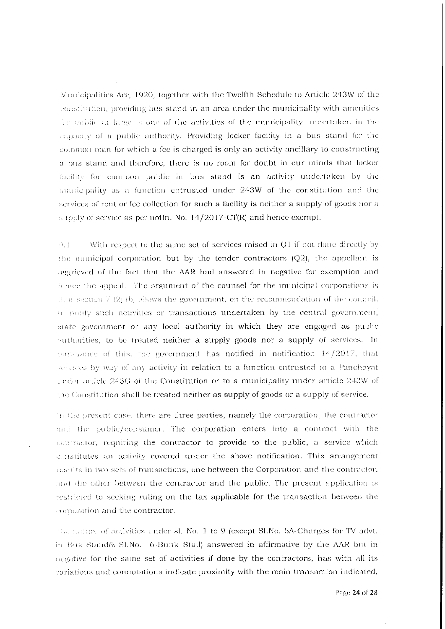Municipalities Act, 1920, together with the Twelfth Schedule to Article 243W of the constitution, providing bus stand in an area under the municipality with amenities for midlic at large is one of the activities of the municipality undertaken in the eapacity of a public authority. Providing locker facility in a bus stand for the common man for which a fee is charged is only an activity ancillary to constructing a bus stand and therefore, there is no room for doubt in our minds that locker facility for common public in bus stand is an activity undertaken by the municipality as a function entrusted under 243W of the constitution and the services of rent or fee collection for such a facility is neither a supply of goods nor a supply of service as per notfn. No. 14/2017-CT(R) and hence exempt.

 $\Omega_{\rm eff}$ With respect to the same set of services raised in Q1 if not done directly by the numicipal corporation but by the tender contractors  $(Q2)$ , the appellant is aggrieved of the fact that the AAR had answered in negative for exemption and hence the appeal. The argument of the counsel for the municipal corporations is then section  $7(2)$  (b) allows the government, on the recommendation of the council, to notify such activities or transactions undertaken by the central government, state government or any local authority in which they are engaged as public authorities, to be treated neither a supply goods nor a supply of services. In pursuance of this, the government has notified in notification 14/2017, that services by way of any activity in relation to a function entrusted to a Panchayat under article 243G of the Constitution or to a municipality under article 243W of the Constitution shall be treated neither as supply of goods or a supply of service.

in the present case, there are three parties, namely the corporation, the contractor and the public/consumer. The corporation enters into a contract with the contractor, requiring the contractor to provide to the public, a service which constitutes an activity covered under the above notification. This arrangement results in two sets of transactions, one between the Corporation and the contractor, and the other between the contractor and the public. The present application is restricted to seeking ruling on the tax applicable for the transaction between the corporation and the contractor,

The numerof activities under sl. No. 1 to 9 (except Sl.No. 5A-Charges for TV advt. in Bus Stand& SLNo. 6 Bunk Stall) answered in affirmative by the AAR but in megative for the same set of activities if done by the contractors, has with all its variations and connotations indicate proximity with the main transaction indicated,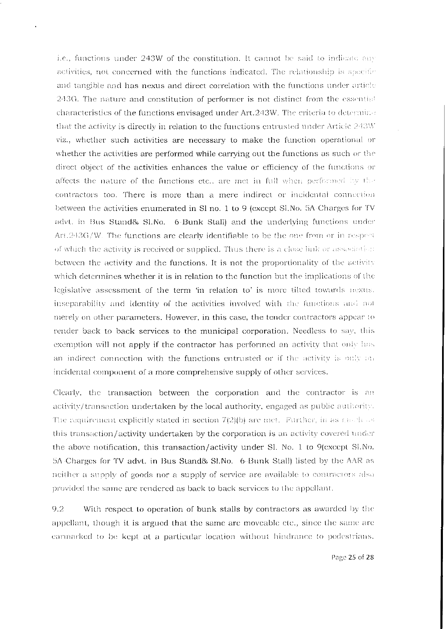i.e., functions under 243W of the constitution. It cannot be said to indicate any activities, not concerned with the functions indicated. The relationship is specific and tangible and has nexus and direct correlation with the functions under article 243G. The nature and constitution of performer is not distinct from the essential characteristics of the functions envisaged under Art.243W. The criteria to determine that the activity is directly in relation to the functions entrusted under Article 243W viz., whether such activities are necessary to make the function operational or whether the activities are performed while carrying out the functions as such or the direct object of the activities enhances the value or efficiency of the functions or affects the nature of the functions etc., are met in full when performed by the contractors too. There is more than a mere indirect or incidental connection between the activities enumerated in Sl no. 1 to 9 (except Sl, No. 5A-Charges for TV advt. in Bus Stand& Sl.No. 6-Bunk Stall) and the underlying functions under Art.243G/W. The functions are clearly identifiable to be the one from or in respect of which the activity is received or supplied. Thus there is a close link or association between the activity and the functions. It is not the proportionality of the activity which determines whether it is in relation to the function but the implications of the legislative assessment of the term 'in relation to' is more tilted towards nexus. inseparability and identity of the activities involved with the functions and not merely on other parameters. However, in this case, the tender contractors appear to render back to back services to the municipal corporation. Needless to say, this exemption will not apply if the contractor has performed an activity that only has an indirect connection with the functions entrusted or if the activity is only an incidental component of a more comprehensive supply of other services.

Clearly, the transaction between the corporation and the contractor is an activity/transaction undertaken by the local authority, engaged as public authority. The requirement explicitly stated in section  $7(2)(b)$  are met. Further, in as that has this transaction/activity undertaken by the corporation is an activity covered under the above notification, this transaction/activity under Sl. No. 1 to 9(except Sl.No. 5A Charges for TV advt. in Bus Stand& SI.No. 6 Bunk Stall) listed by the AAR as neither a supply of goods nor a supply of service are available to contractors also provided the same are rendered as back to back services to the appellant.

 $9.2$ With respect to operation of bunk stalls by contractors as awarded by the appellant, though it is argued that the same are moveable etc., since the same are carmarked to be kept at a particular location without hindrance to pedestrians.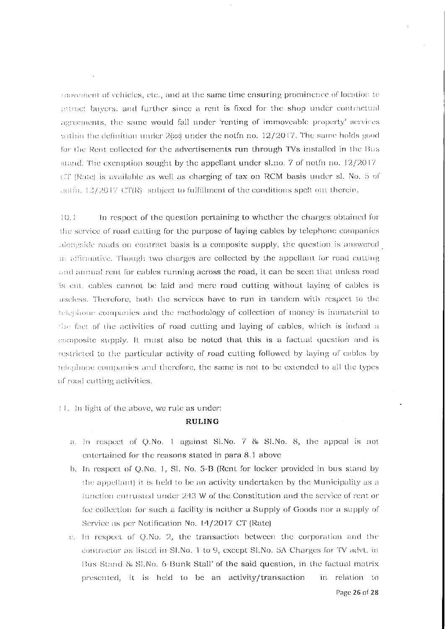movement of vehicles, etc., and at the same time ensuring prominence of location to attract buyers, and further since a rent is fixed for the shop under contractual agreements, the same would fall under 'renting of immoveable property' services within the definition under  $2|zz|$  under the notion no.  $12/2017$ . The same holds good for the Rent collected for the advertisements run through TVs installed in the Bus stand. The exemption sought by the appellant under sl.no. 7 of notfn no.  $12/2017$ . CT (Rate) is available as well as charging of tax on RCM basis under sl. No. 5 of aoth. 13/2017 CT(R) subject to fulfillment of the conditions spelt out therein.

In respect of the question pertaining to whether the charges obtained for  $10.1$ the service of road cutting for the purpose of laying cables by telephone companies alongside roads on contract basis is a composite supply, the question is answered in affirmative. Though two charges are collected by the appellant for road cutting and annual rent for cables running across the road, it can be seen that unless road is cut, cables cannot be laid and mere road cutting without laying of cables is useless. Therefore, both the services have to run in tandem with respect to the telephone companies and the methodology of collection of money is immaterial to the fact of the activities of road cutting and laying of cables, which is indeed a composite supply. It must also be noted that this is a factual question and is restricted to the particular activity of road cutting followed by laying of cables by telephone companies and therefore, the same is not to be extended to all the types of road cutting activities.

11. In light of the above, we rule as under:

### **RULING**

- a. In respect of Q.No. 1 against Sl.No. 7 & Sl.No. 8, the appeal is not entertained for the reasons stated in para 8.1 above
- b. In respect of Q.No. 1, Sl. No. 5-B (Rent for locker provided in bus stand by the appellant) it is held to be an activity undertaken by the Municipality as a function entrusted under 243 W of the Constitution and the service of rent or fee collection for such a facility is neither a Supply of Goods nor a supply of Service as per Notification No. 14/2017 CT (Rate)
- e. In respect of Q.No. 2, the transaction between the corporation and the contractor as listed in SLNo. 1 to 9, except SLNo. 5A Charges for TV advt. in Bus Stand & SI.No. 6-Bunk Stall' of the said question, in the factual matrix presented, it is held to be an activity/transaction in relation to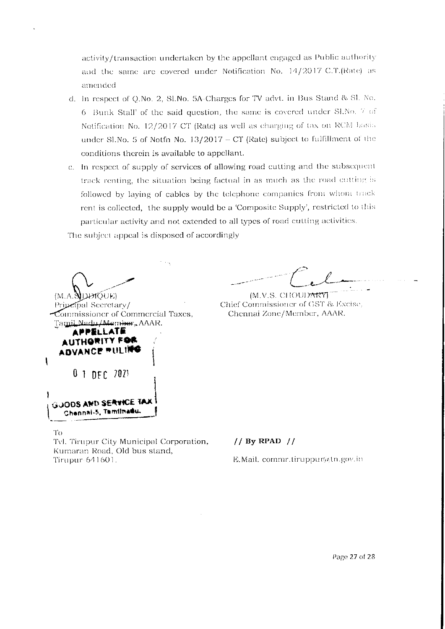activity/transaction undertaken by the appellant engaged as Public authority and the same are covered under Notification No. 14/2017 C.T.(Rate) as amended

- d. In respect of Q.No. 2, Sl.No. 5A-Charges for TV advt. in Bus Stand & Sl. No. 6 Bunk Stall' of the said question, the same is covered under Sl.No. 7 of Notification No. 12/2017-CT (Rate) as well as charging of tax on RCM basis under Sl.No. 5 of Notfn No.  $13/2017 - CT$  (Rate) subject to fulfillment of the conditions therein is available to appellant.
- c. In respect of supply of services of allowing road cutting and the subsequent track renting, the situation being factual in as much as the road cutting is followed by laying of cables by the telephone companies from whom track rent is collected, the supply would be a 'Composite Supply', restricted to this particular activity and not extended to all types of road cutting activities.

The subject appeal is disposed of accordingly

(M.A.**SIDETOUE**) Principal Secretary/ Commissioner of Commercial Taxes, Tamil Nadu/Member, AAAR. **APPELLATE** AUTHORITY FOR ADVANCE PULING  $\mathbf \iota$  $0$  1 DEC  $2021$ **GUODS AND SERVICE TAX** Chennai-5, Tamilnadu.

(M.V.S. CHOUDARY) Chief Commissioner of GST & Excise. Chennai Zone/Member, AAAR.

To

Tvl. Tirupur City Municipal Corporation, Kumaran Road, Old bus stand, Tirupur-641601.

# $1/$  By RPAD  $1/$

E.Mail.commr.tiruppur@tn.gov.in

Page 27 of 28